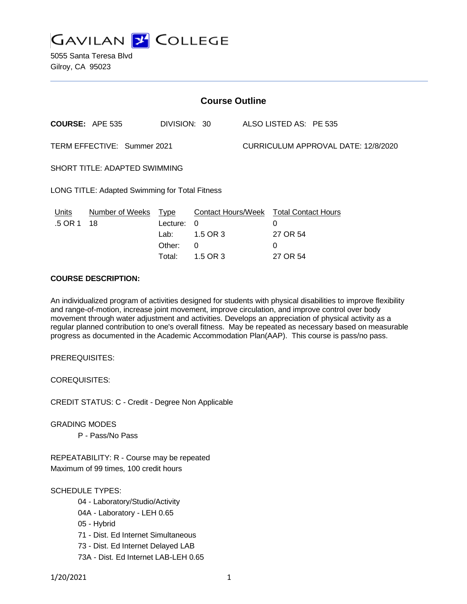

5055 Santa Teresa Blvd Gilroy, CA 95023

| <b>Course Outline</b>                          |                        |                                                     |                                                                    |                                     |                                                              |
|------------------------------------------------|------------------------|-----------------------------------------------------|--------------------------------------------------------------------|-------------------------------------|--------------------------------------------------------------|
|                                                | <b>COURSE: APE 535</b> | DIVISION: 30                                        |                                                                    |                                     | ALSO LISTED AS: PE 535                                       |
| TERM EFFECTIVE: Summer 2021                    |                        |                                                     |                                                                    | CURRICULUM APPROVAL DATE: 12/8/2020 |                                                              |
| SHORT TITLE: ADAPTED SWIMMING                  |                        |                                                     |                                                                    |                                     |                                                              |
| LONG TITLE: Adapted Swimming for Total Fitness |                        |                                                     |                                                                    |                                     |                                                              |
| Units<br>.5 OR 1                               | Number of Weeks<br>18  | <b>Type</b><br>Lecture:<br>Lab:<br>Other:<br>Total: | <b>Contact Hours/Week</b><br>$\Omega$<br>1.5 OR 3<br>0<br>1.5 OR 3 |                                     | <b>Total Contact Hours</b><br>0<br>27 OR 54<br>0<br>27 OR 54 |
|                                                |                        |                                                     |                                                                    |                                     |                                                              |

## **COURSE DESCRIPTION:**

An individualized program of activities designed for students with physical disabilities to improve flexibility and range-of-motion, increase joint movement, improve circulation, and improve control over body movement through water adjustment and activities. Develops an appreciation of physical activity as a regular planned contribution to one's overall fitness. May be repeated as necessary based on measurable progress as documented in the Academic Accommodation Plan(AAP). This course is pass/no pass.

PREREQUISITES:

COREQUISITES:

CREDIT STATUS: C - Credit - Degree Non Applicable

GRADING MODES

P - Pass/No Pass

REPEATABILITY: R - Course may be repeated Maximum of 99 times, 100 credit hours

## SCHEDULE TYPES:

- 04 Laboratory/Studio/Activity
- 04A Laboratory LEH 0.65
- 05 Hybrid
- 71 Dist. Ed Internet Simultaneous
- 73 Dist. Ed Internet Delayed LAB
- 73A Dist. Ed Internet LAB-LEH 0.65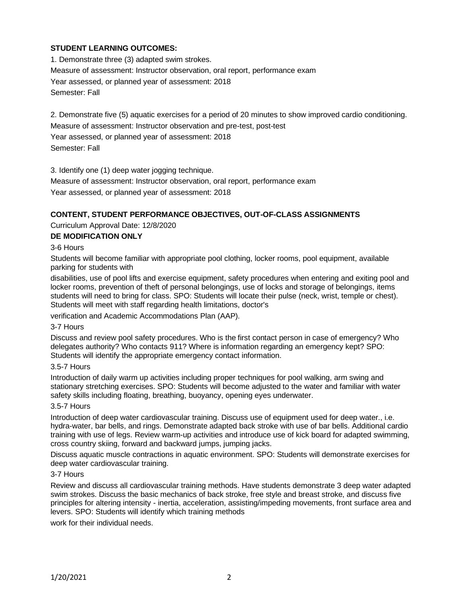# **STUDENT LEARNING OUTCOMES:**

1. Demonstrate three (3) adapted swim strokes. Measure of assessment: Instructor observation, oral report, performance exam Year assessed, or planned year of assessment: 2018 Semester: Fall

2. Demonstrate five (5) aquatic exercises for a period of 20 minutes to show improved cardio conditioning. Measure of assessment: Instructor observation and pre-test, post-test Year assessed, or planned year of assessment: 2018 Semester: Fall

3. Identify one (1) deep water jogging technique.

Measure of assessment: Instructor observation, oral report, performance exam Year assessed, or planned year of assessment: 2018

## **CONTENT, STUDENT PERFORMANCE OBJECTIVES, OUT-OF-CLASS ASSIGNMENTS**

Curriculum Approval Date: 12/8/2020

### **DE MODIFICATION ONLY**

3-6 Hours

Students will become familiar with appropriate pool clothing, locker rooms, pool equipment, available parking for students with

disabilities, use of pool lifts and exercise equipment, safety procedures when entering and exiting pool and locker rooms, prevention of theft of personal belongings, use of locks and storage of belongings, items students will need to bring for class. SPO: Students will locate their pulse (neck, wrist, temple or chest). Students will meet with staff regarding health limitations, doctor's

verification and Academic Accommodations Plan (AAP).

#### 3-7 Hours

Discuss and review pool safety procedures. Who is the first contact person in case of emergency? Who delegates authority? Who contacts 911? Where is information regarding an emergency kept? SPO: Students will identify the appropriate emergency contact information.

#### 3.5-7 Hours

Introduction of daily warm up activities including proper techniques for pool walking, arm swing and stationary stretching exercises. SPO: Students will become adjusted to the water and familiar with water safety skills including floating, breathing, buoyancy, opening eyes underwater.

#### 3.5-7 Hours

Introduction of deep water cardiovascular training. Discuss use of equipment used for deep water., i.e. hydra-water, bar bells, and rings. Demonstrate adapted back stroke with use of bar bells. Additional cardio training with use of legs. Review warm-up activities and introduce use of kick board for adapted swimming, cross country skiing, forward and backward jumps, jumping jacks.

Discuss aquatic muscle contractions in aquatic environment. SPO: Students will demonstrate exercises for deep water cardiovascular training.

#### 3-7 Hours

Review and discuss all cardiovascular training methods. Have students demonstrate 3 deep water adapted swim strokes. Discuss the basic mechanics of back stroke, free style and breast stroke, and discuss five principles for altering intensity - inertia, acceleration, assisting/impeding movements, front surface area and levers. SPO: Students will identify which training methods

work for their individual needs.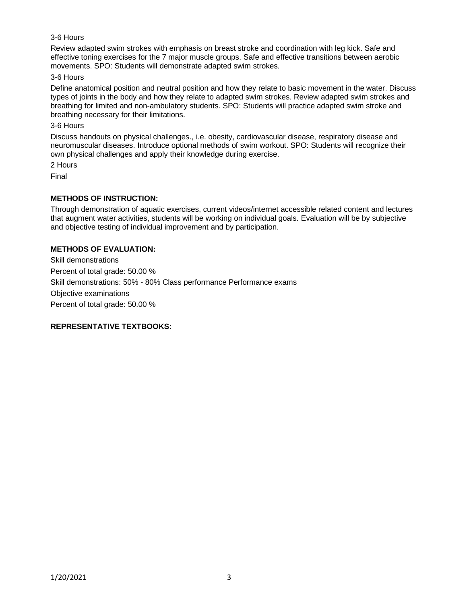## 3-6 Hours

Review adapted swim strokes with emphasis on breast stroke and coordination with leg kick. Safe and effective toning exercises for the 7 major muscle groups. Safe and effective transitions between aerobic movements. SPO: Students will demonstrate adapted swim strokes.

#### 3-6 Hours

Define anatomical position and neutral position and how they relate to basic movement in the water. Discuss types of joints in the body and how they relate to adapted swim strokes. Review adapted swim strokes and breathing for limited and non-ambulatory students. SPO: Students will practice adapted swim stroke and breathing necessary for their limitations.

### 3-6 Hours

Discuss handouts on physical challenges., i.e. obesity, cardiovascular disease, respiratory disease and neuromuscular diseases. Introduce optional methods of swim workout. SPO: Students will recognize their own physical challenges and apply their knowledge during exercise.

2 Hours

Final

# **METHODS OF INSTRUCTION:**

Through demonstration of aquatic exercises, current videos/internet accessible related content and lectures that augment water activities, students will be working on individual goals. Evaluation will be by subjective and objective testing of individual improvement and by participation.

## **METHODS OF EVALUATION:**

Skill demonstrations Percent of total grade: 50.00 % Skill demonstrations: 50% - 80% Class performance Performance exams Objective examinations Percent of total grade: 50.00 %

# **REPRESENTATIVE TEXTBOOKS:**